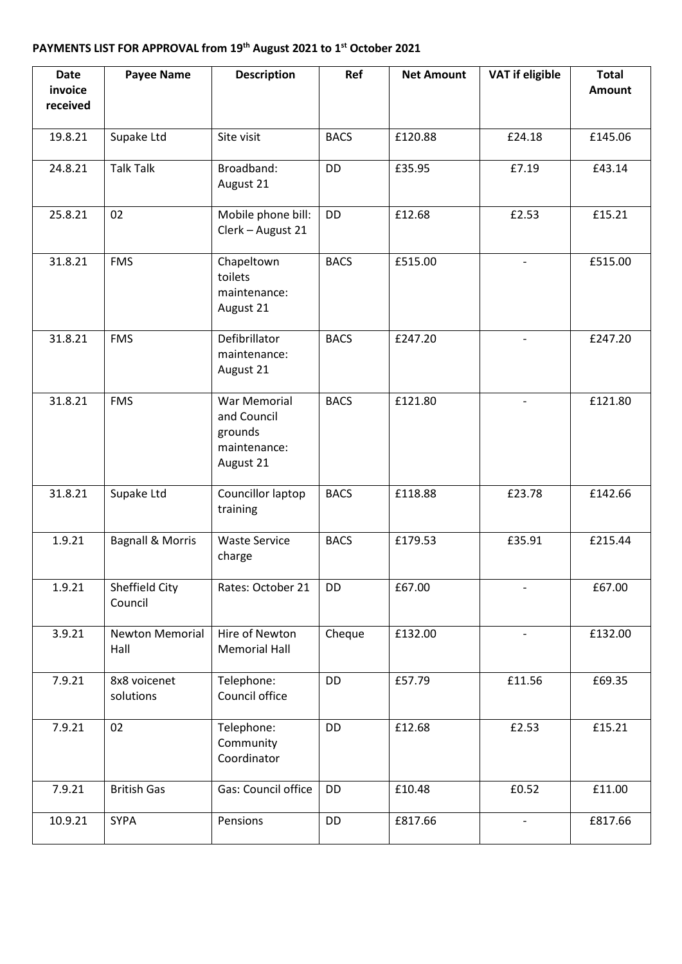## **PAYMENTS LIST FOR APPROVAL from 19th August 2021 to 1 st October 2021**

| <b>Date</b><br>invoice<br>received | <b>Payee Name</b>              | <b>Description</b>                                                  | Ref         | <b>Net Amount</b> | <b>VAT if eligible</b> | <b>Total</b><br>Amount |
|------------------------------------|--------------------------------|---------------------------------------------------------------------|-------------|-------------------|------------------------|------------------------|
| 19.8.21                            | Supake Ltd                     | Site visit                                                          | <b>BACS</b> | £120.88           | £24.18                 | £145.06                |
| 24.8.21                            | <b>Talk Talk</b>               | Broadband:<br>August 21                                             | DD          | £35.95            | £7.19                  | £43.14                 |
| 25.8.21                            | 02                             | Mobile phone bill:<br>Clerk - August 21                             | DD          | £12.68            | £2.53                  | £15.21                 |
| 31.8.21                            | <b>FMS</b>                     | Chapeltown<br>toilets<br>maintenance:<br>August 21                  | <b>BACS</b> | £515.00           | $\blacksquare$         | £515.00                |
| 31.8.21                            | <b>FMS</b>                     | Defibrillator<br>maintenance:<br>August 21                          | <b>BACS</b> | £247.20           |                        | £247.20                |
| 31.8.21                            | <b>FMS</b>                     | War Memorial<br>and Council<br>grounds<br>maintenance:<br>August 21 | <b>BACS</b> | £121.80           |                        | £121.80                |
| 31.8.21                            | Supake Ltd                     | Councillor laptop<br>training                                       | <b>BACS</b> | £118.88           | £23.78                 | £142.66                |
| 1.9.21                             | <b>Bagnall &amp; Morris</b>    | <b>Waste Service</b><br>charge                                      | <b>BACS</b> | £179.53           | £35.91                 | £215.44                |
| 1.9.21                             | Sheffield City<br>Council      | Rates: October 21                                                   | DD          | £67.00            |                        | £67.00                 |
| 3.9.21                             | <b>Newton Memorial</b><br>Hall | Hire of Newton<br><b>Memorial Hall</b>                              | Cheque      | £132.00           |                        | £132.00                |
| 7.9.21                             | 8x8 voicenet<br>solutions      | Telephone:<br>Council office                                        | DD          | £57.79            | £11.56                 | £69.35                 |
| 7.9.21                             | 02                             | Telephone:<br>Community<br>Coordinator                              | DD          | £12.68            | £2.53                  | £15.21                 |
| 7.9.21                             | <b>British Gas</b>             | Gas: Council office                                                 | DD          | £10.48            | £0.52                  | £11.00                 |
| 10.9.21                            | <b>SYPA</b>                    | Pensions                                                            | DD          | £817.66           |                        | £817.66                |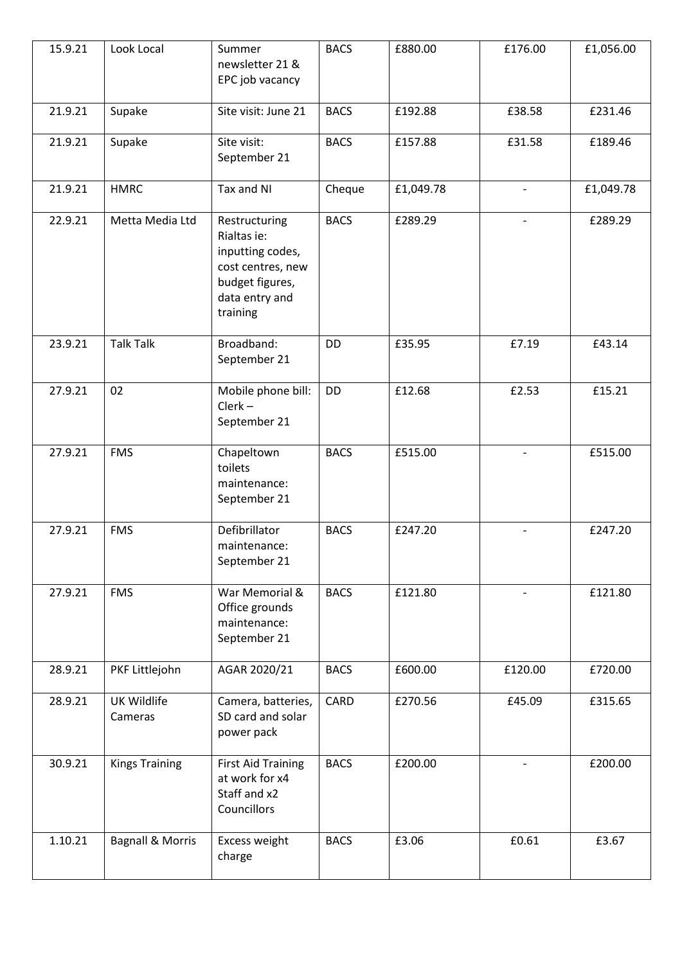| 15.9.21 | Look Local                  | Summer<br>newsletter 21 &<br>EPC job vacancy                                                                           | <b>BACS</b> | £880.00   | £176.00 | £1,056.00 |
|---------|-----------------------------|------------------------------------------------------------------------------------------------------------------------|-------------|-----------|---------|-----------|
| 21.9.21 | Supake                      | Site visit: June 21                                                                                                    | <b>BACS</b> | £192.88   | £38.58  | £231.46   |
| 21.9.21 | Supake                      | Site visit:<br>September 21                                                                                            | <b>BACS</b> | £157.88   | £31.58  | £189.46   |
| 21.9.21 | <b>HMRC</b>                 | Tax and NI                                                                                                             | Cheque      | £1,049.78 |         | £1,049.78 |
| 22.9.21 | Metta Media Ltd             | Restructuring<br>Rialtas ie:<br>inputting codes,<br>cost centres, new<br>budget figures,<br>data entry and<br>training | <b>BACS</b> | £289.29   |         | £289.29   |
| 23.9.21 | <b>Talk Talk</b>            | Broadband:<br>September 21                                                                                             | DD          | £35.95    | £7.19   | £43.14    |
| 27.9.21 | 02                          | Mobile phone bill:<br>$Clerk -$<br>September 21                                                                        | DD          | £12.68    | £2.53   | £15.21    |
| 27.9.21 | <b>FMS</b>                  | Chapeltown<br>toilets<br>maintenance:<br>September 21                                                                  | <b>BACS</b> | £515.00   |         | £515.00   |
| 27.9.21 | <b>FMS</b>                  | Defibrillator<br>maintenance:<br>September 21                                                                          | <b>BACS</b> | £247.20   |         | £247.20   |
| 27.9.21 | <b>FMS</b>                  | War Memorial &<br>Office grounds<br>maintenance:<br>September 21                                                       | <b>BACS</b> | £121.80   |         | £121.80   |
| 28.9.21 | PKF Littlejohn              | AGAR 2020/21                                                                                                           | <b>BACS</b> | £600.00   | £120.00 | £720.00   |
| 28.9.21 | UK Wildlife<br>Cameras      | Camera, batteries,<br>SD card and solar<br>power pack                                                                  | CARD        | £270.56   | £45.09  | £315.65   |
| 30.9.21 | <b>Kings Training</b>       | <b>First Aid Training</b><br>at work for x4<br>Staff and x2<br>Councillors                                             | <b>BACS</b> | £200.00   |         | £200.00   |
| 1.10.21 | <b>Bagnall &amp; Morris</b> | Excess weight<br>charge                                                                                                | <b>BACS</b> | £3.06     | £0.61   | £3.67     |